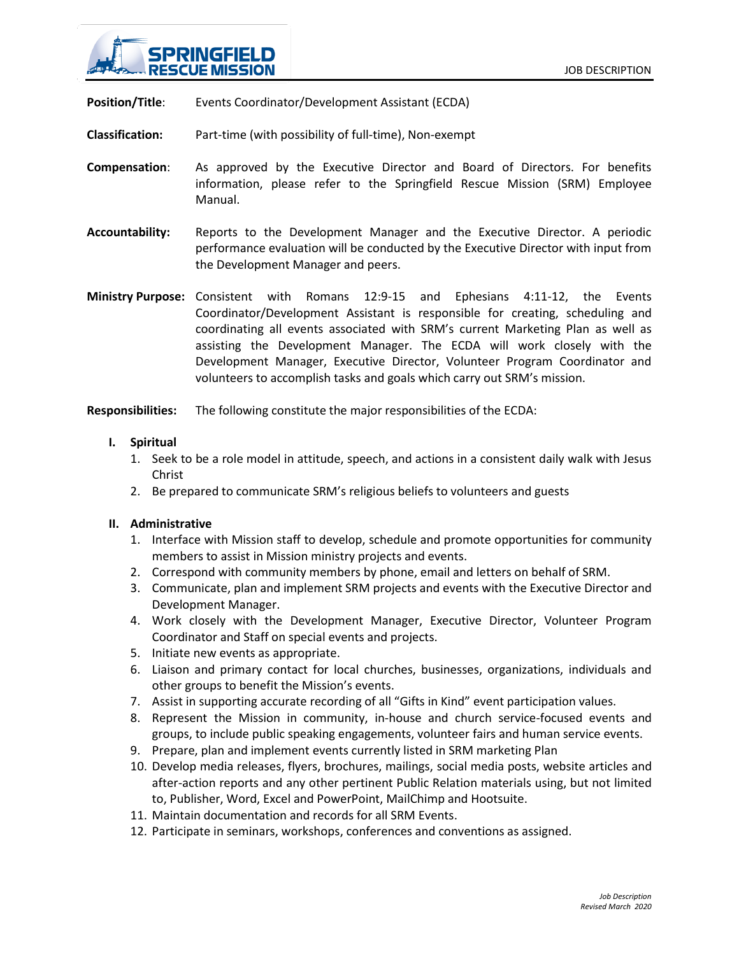

**Position/Title:** Events Coordinator/Development Assistant (ECDA)

**Classification:** Part-time (with possibility of full-time), Non-exempt

- **Compensation**: As approved by the Executive Director and Board of Directors. For benefits information, please refer to the Springfield Rescue Mission (SRM) Employee Manual.
- **Accountability:** Reports to the Development Manager and the Executive Director. A periodic performance evaluation will be conducted by the Executive Director with input from the Development Manager and peers.

**Ministry Purpose:** Consistent with Romans 12:9-15 and Ephesians 4:11-12, the Events Coordinator/Development Assistant is responsible for creating, scheduling and coordinating all events associated with SRM's current Marketing Plan as well as assisting the Development Manager. The ECDA will work closely with the Development Manager, Executive Director, Volunteer Program Coordinator and volunteers to accomplish tasks and goals which carry out SRM's mission.

**Responsibilities:** The following constitute the major responsibilities of the ECDA:

## **I. Spiritual**

- 1. Seek to be a role model in attitude, speech, and actions in a consistent daily walk with Jesus Christ
- 2. Be prepared to communicate SRM's religious beliefs to volunteers and guests

## **II. Administrative**

- 1. Interface with Mission staff to develop, schedule and promote opportunities for community members to assist in Mission ministry projects and events.
- 2. Correspond with community members by phone, email and letters on behalf of SRM.
- 3. Communicate, plan and implement SRM projects and events with the Executive Director and Development Manager.
- 4. Work closely with the Development Manager, Executive Director, Volunteer Program Coordinator and Staff on special events and projects.
- 5. Initiate new events as appropriate.
- 6. Liaison and primary contact for local churches, businesses, organizations, individuals and other groups to benefit the Mission's events.
- 7. Assist in supporting accurate recording of all "Gifts in Kind" event participation values.
- 8. Represent the Mission in community, in-house and church service-focused events and groups, to include public speaking engagements, volunteer fairs and human service events.
- 9. Prepare, plan and implement events currently listed in SRM marketing Plan
- 10. Develop media releases, flyers, brochures, mailings, social media posts, website articles and after-action reports and any other pertinent Public Relation materials using, but not limited to, Publisher, Word, Excel and PowerPoint, MailChimp and Hootsuite.
- 11. Maintain documentation and records for all SRM Events.
- 12. Participate in seminars, workshops, conferences and conventions as assigned.